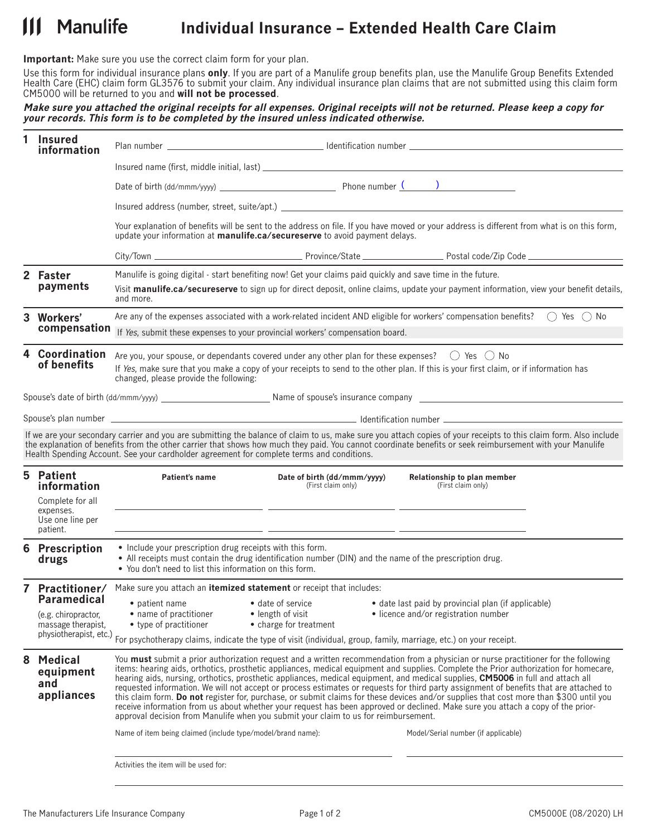## $\mathbf{11}$ **Manulife Individual Insurance – Extended Health Care Claim**

**Important:** Make sure you use the correct claim form for your plan.

Use this form for individual insurance plans **only**. If you are part of a Manulife group benefits plan, use the Manulife Group Benefits Extended Health Care (EHC) claim form GL3576 to submit your claim. Any individual insurance plan claims that are not submitted using this claim form CM5000 will be returned to you and **will not be processed**.

## **Make sure you attached the original receipts for all expenses. Original receipts will not be returned. Please keep a copy for your records. This form is to be completed by the insured unless indicated otherwise.**

|              | <b>Insured</b><br>information                                                    |                                                                                                                                                                                                                                                                                                                                                                                                                                                                                                                                                                                                                                                                                                                                                                                                                                                                                                                                                                                                                                                                                     |                                                                                                                                                                           |                                                                                                                                                                                                                                                                                                                                |  |  |
|--------------|----------------------------------------------------------------------------------|-------------------------------------------------------------------------------------------------------------------------------------------------------------------------------------------------------------------------------------------------------------------------------------------------------------------------------------------------------------------------------------------------------------------------------------------------------------------------------------------------------------------------------------------------------------------------------------------------------------------------------------------------------------------------------------------------------------------------------------------------------------------------------------------------------------------------------------------------------------------------------------------------------------------------------------------------------------------------------------------------------------------------------------------------------------------------------------|---------------------------------------------------------------------------------------------------------------------------------------------------------------------------|--------------------------------------------------------------------------------------------------------------------------------------------------------------------------------------------------------------------------------------------------------------------------------------------------------------------------------|--|--|
|              |                                                                                  |                                                                                                                                                                                                                                                                                                                                                                                                                                                                                                                                                                                                                                                                                                                                                                                                                                                                                                                                                                                                                                                                                     |                                                                                                                                                                           |                                                                                                                                                                                                                                                                                                                                |  |  |
|              |                                                                                  |                                                                                                                                                                                                                                                                                                                                                                                                                                                                                                                                                                                                                                                                                                                                                                                                                                                                                                                                                                                                                                                                                     |                                                                                                                                                                           |                                                                                                                                                                                                                                                                                                                                |  |  |
|              |                                                                                  |                                                                                                                                                                                                                                                                                                                                                                                                                                                                                                                                                                                                                                                                                                                                                                                                                                                                                                                                                                                                                                                                                     |                                                                                                                                                                           |                                                                                                                                                                                                                                                                                                                                |  |  |
|              |                                                                                  | Your explanation of benefits will be sent to the address on file. If you have moved or your address is different from what is on this form,<br>update your information at <b>manulife.ca/secureserve</b> to avoid payment delays.                                                                                                                                                                                                                                                                                                                                                                                                                                                                                                                                                                                                                                                                                                                                                                                                                                                   |                                                                                                                                                                           |                                                                                                                                                                                                                                                                                                                                |  |  |
|              |                                                                                  |                                                                                                                                                                                                                                                                                                                                                                                                                                                                                                                                                                                                                                                                                                                                                                                                                                                                                                                                                                                                                                                                                     |                                                                                                                                                                           |                                                                                                                                                                                                                                                                                                                                |  |  |
|              | 2 Faster<br>payments                                                             |                                                                                                                                                                                                                                                                                                                                                                                                                                                                                                                                                                                                                                                                                                                                                                                                                                                                                                                                                                                                                                                                                     | Manulife is going digital - start benefiting now! Get your claims paid quickly and save time in the future.                                                               |                                                                                                                                                                                                                                                                                                                                |  |  |
|              |                                                                                  | Visit manulife.ca/secureserve to sign up for direct deposit, online claims, update your payment information, view your benefit details,<br>and more.                                                                                                                                                                                                                                                                                                                                                                                                                                                                                                                                                                                                                                                                                                                                                                                                                                                                                                                                |                                                                                                                                                                           |                                                                                                                                                                                                                                                                                                                                |  |  |
|              | 3 Workers'<br>compensation                                                       |                                                                                                                                                                                                                                                                                                                                                                                                                                                                                                                                                                                                                                                                                                                                                                                                                                                                                                                                                                                                                                                                                     |                                                                                                                                                                           | Are any of the expenses associated with a work-related incident AND eligible for workers' compensation benefits? $\bigcirc$ Yes $\bigcirc$ No                                                                                                                                                                                  |  |  |
|              |                                                                                  | If Yes, submit these expenses to your provincial workers' compensation board.                                                                                                                                                                                                                                                                                                                                                                                                                                                                                                                                                                                                                                                                                                                                                                                                                                                                                                                                                                                                       |                                                                                                                                                                           |                                                                                                                                                                                                                                                                                                                                |  |  |
|              | 4 Coordination<br>of benefits                                                    | Are you, your spouse, or dependants covered under any other plan for these expenses? $\bigcirc$ Yes $\bigcirc$ No<br>If Yes, make sure that you make a copy of your receipts to send to the other plan. If this is your first claim, or if information has<br>changed, please provide the following:                                                                                                                                                                                                                                                                                                                                                                                                                                                                                                                                                                                                                                                                                                                                                                                |                                                                                                                                                                           |                                                                                                                                                                                                                                                                                                                                |  |  |
|              |                                                                                  |                                                                                                                                                                                                                                                                                                                                                                                                                                                                                                                                                                                                                                                                                                                                                                                                                                                                                                                                                                                                                                                                                     |                                                                                                                                                                           |                                                                                                                                                                                                                                                                                                                                |  |  |
|              |                                                                                  |                                                                                                                                                                                                                                                                                                                                                                                                                                                                                                                                                                                                                                                                                                                                                                                                                                                                                                                                                                                                                                                                                     |                                                                                                                                                                           |                                                                                                                                                                                                                                                                                                                                |  |  |
|              |                                                                                  |                                                                                                                                                                                                                                                                                                                                                                                                                                                                                                                                                                                                                                                                                                                                                                                                                                                                                                                                                                                                                                                                                     | Health Spending Account. See your cardholder agreement for complete terms and conditions.                                                                                 | If we are your secondary carrier and you are submitting the balance of claim to us, make sure you attach copies of your receipts to this claim form. Also include<br>the explanation of benefits from the other carrier that shows how much they paid. You cannot coordinate benefits or seek reimbursement with your Manulife |  |  |
|              | 5 Patient<br>information<br>Complete for all<br>expenses.<br>Use one line per    | Patient's name                                                                                                                                                                                                                                                                                                                                                                                                                                                                                                                                                                                                                                                                                                                                                                                                                                                                                                                                                                                                                                                                      | Date of birth (dd/mmm/yyyy)<br>(First claim only)<br><u> 1989 - Jan Stein Stein Stein Stein Stein Stein Stein Stein Stein Stein Stein Stein Stein Stein Stein Stein S</u> | Relationship to plan member<br>(First claim only)                                                                                                                                                                                                                                                                              |  |  |
|              | patient.<br>6 Prescription<br>drugs                                              | • Include your prescription drug receipts with this form.<br>• All receipts must contain the drug identification number (DIN) and the name of the prescription drug.<br>• You don't need to list this information on this form.                                                                                                                                                                                                                                                                                                                                                                                                                                                                                                                                                                                                                                                                                                                                                                                                                                                     |                                                                                                                                                                           |                                                                                                                                                                                                                                                                                                                                |  |  |
| $\mathbf{7}$ | Practitioner/<br><b>Paramedical</b><br>(e.g. chiropractor,<br>massage therapist, | Make sure you attach an <b>itemized statement</b> or receipt that includes:<br>• patient name <b>•</b> date of service • date last paid by provincial plan (if applicable)<br>• name of practitioner<br>• length of visit<br>• licence and/or registration number<br>• type of practitioner<br>• charge for treatment<br>physiotherapist, etc.) For psychotherapy claims, indicate the type of visit (individual, group, family, marriage, etc.) on your receipt.                                                                                                                                                                                                                                                                                                                                                                                                                                                                                                                                                                                                                   |                                                                                                                                                                           |                                                                                                                                                                                                                                                                                                                                |  |  |
| 8            | Medical<br>equipment<br>and<br>appliances                                        | You <b>must</b> submit a prior authorization request and a written recommendation from a physician or nurse practitioner for the following<br>items: hearing aids, orthotics, prosthetic appliances, medical equipment and supplies. Complete the Prior authorization for homecare,<br>hearing aids, nursing, orthotics, prosthetic appliances, medical equipment, and medical supplies, CM5006 in full and attach all<br>requested information. We will not accept or process estimates or requests for third party assignment of benefits that are attached to<br>this claim form. Do not register for, purchase, or submit claims for these devices and/or supplies that cost more than \$300 until you<br>receive information from us about whether your request has been approved or declined. Make sure you attach a copy of the prior-<br>approval decision from Manulife when you submit your claim to us for reimbursement.<br>Name of item being claimed (include type/model/brand name):<br>Model/Serial number (if applicable)<br>Activities the item will be used for: |                                                                                                                                                                           |                                                                                                                                                                                                                                                                                                                                |  |  |